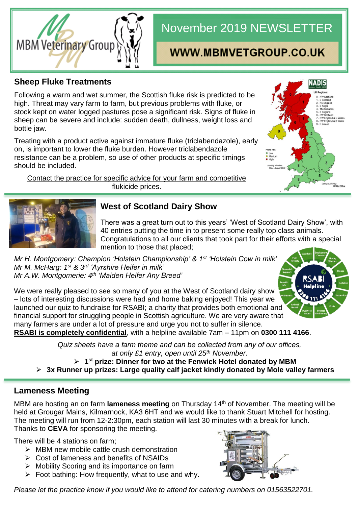

# November 2019 NEWSLETTER

## WWW.MBMVETGROUP.CO.UK

#### **Sheep Fluke Treatments**

Following a warm and wet summer, the Scottish fluke risk is predicted to be high. Threat may vary farm to farm, but previous problems with fluke, or stock kept on water logged pastures pose a significant risk. Signs of fluke in sheep can be severe and include: sudden death, dullness, weight loss and bottle jaw.

Treating with a product active against immature fluke (triclabendazole), early on, is important to lower the fluke burden. However triclabendazole resistance can be a problem, so use of other products at specific timings should be included.

Contact the practice for specific advice for your farm and competitive flukicide prices.





#### **West of Scotland Dairy Show**

There was a great turn out to this years' 'West of Scotland Dairy Show', with 40 entries putting the time in to present some really top class animals. Congratulations to all our clients that took part for their efforts with a special mention to those that placed;

*Mr H. Montgomery: Champion 'Holstein Championship' & 1st 'Holstein Cow in milk' Mr M. McHarg: 1st & 3rd 'Ayrshire Heifer in milk' Mr A.W. Montgomerie: 4th 'Maiden Heifer Any Breed'*

We were really pleased to see so many of you at the West of Scotland dairy show – lots of interesting discussions were had and home baking enjoyed! This year we launched our quiz to fundraise for RSABI; a charity that provides both emotional and financial support for struggling people in Scottish agriculture. We are very aware that many farmers are under a lot of pressure and urge you not to suffer in silence. **RSABI is completely confidential**, with a helpline available 7am – 11pm on **0300 111 4166**.



*Quiz sheets have a farm theme and can be collected from any of our offices,* 

*at only £1 entry, open until 25th November.*

**1 st prize: Dinner for two at the Fenwick Hotel donated by MBM**

**3x Runner up prizes: Large quality calf jacket kindly donated by Mole valley farmers**

#### **Lameness Meeting**

MBM are hosting an on farm **lameness meeting** on Thursday 14th of November. The meeting will be held at Grougar Mains, Kilmarnock, KA3 6HT and we would like to thank Stuart Mitchell for hosting. The meeting will run from 12-2:30pm, each station will last 30 minutes with a break for lunch. Thanks to **CEVA** for sponsoring the meeting.

There will be 4 stations on farm;

- $\triangleright$  MBM new mobile cattle crush demonstration
- $\triangleright$  Cost of lameness and benefits of NSAIDs
- $\triangleright$  Mobility Scoring and its importance on farm
- $\triangleright$  Foot bathing: How frequently, what to use and why.



*Please let the practice know if you would like to attend for catering numbers on 01563522701.*